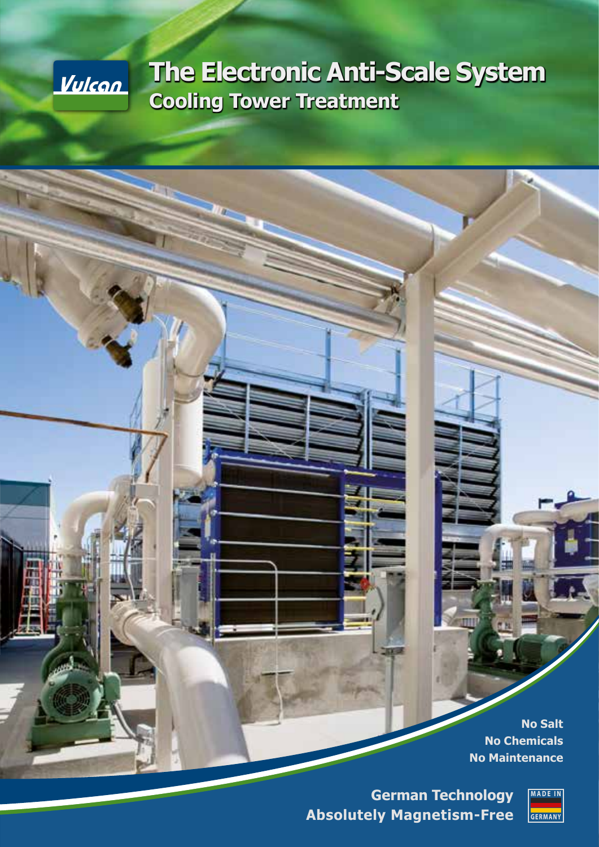

# **The Electronic Anti-Scale System Cooling Tower Treatment**

**No Salt No Chemicals No Maintenance**

**German Technology Absolutely Magnetism-Free**

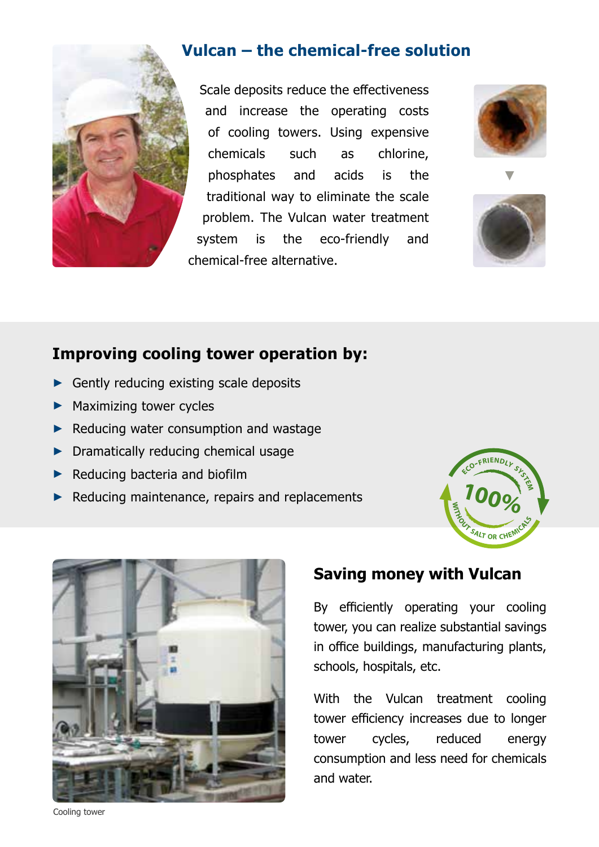

#### **Vulcan – the chemical-free solution**

Scale deposits reduce the effectiveness and increase the operating costs of cooling towers. Using expensive chemicals such as chlorine, phosphates and acids is the traditional way to eliminate the scale problem. The Vulcan water treatment system is the eco-friendly and chemical-free alternative.





## **Improving cooling tower operation by:**

- ► Gently reducing existing scale deposits
- ► Maximizing tower cycles
- ► Reducing water consumption and wastage
- ► Dramatically reducing chemical usage
- ► Reducing bacteria and biofilm
- ► Reducing maintenance, repairs and replacements





#### **Saving money with Vulcan**

By efficiently operating your cooling tower, you can realize substantial savings in office buildings, manufacturing plants, schools, hospitals, etc.

With the Vulcan treatment cooling tower efficiency increases due to longer tower cycles, reduced energy consumption and less need for chemicals and water.

Cooling tower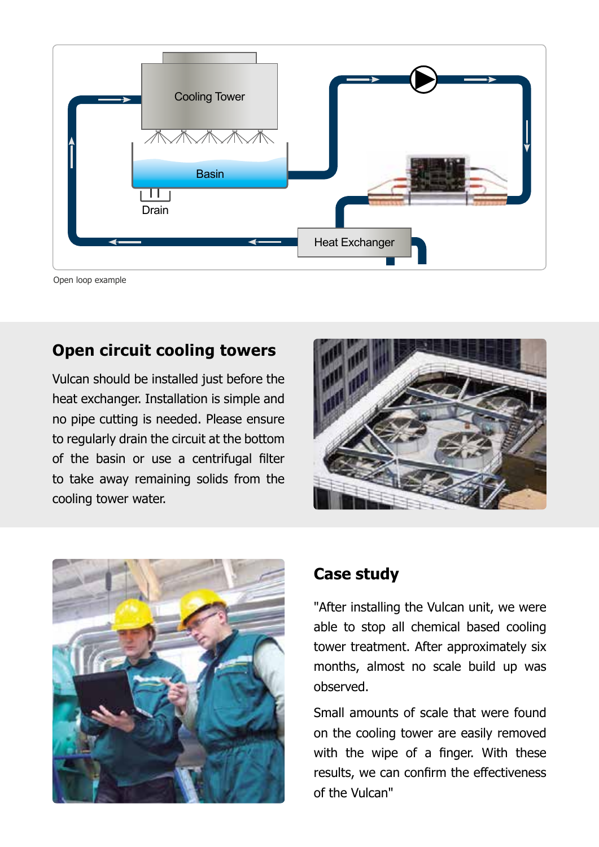

Open loop example

### **Open circuit cooling towers**

Vulcan should be installed just before the heat exchanger. Installation is simple and no pipe cutting is needed. Please ensure to regularly drain the circuit at the bottom of the basin or use a centrifugal filter to take away remaining solids from the cooling tower water.





#### **Case study**

"After installing the Vulcan unit, we were able to stop all chemical based cooling tower treatment. After approximately six months, almost no scale build up was observed.

Small amounts of scale that were found on the cooling tower are easily removed with the wipe of a finger. With these results, we can confirm the effectiveness of the Vulcan"